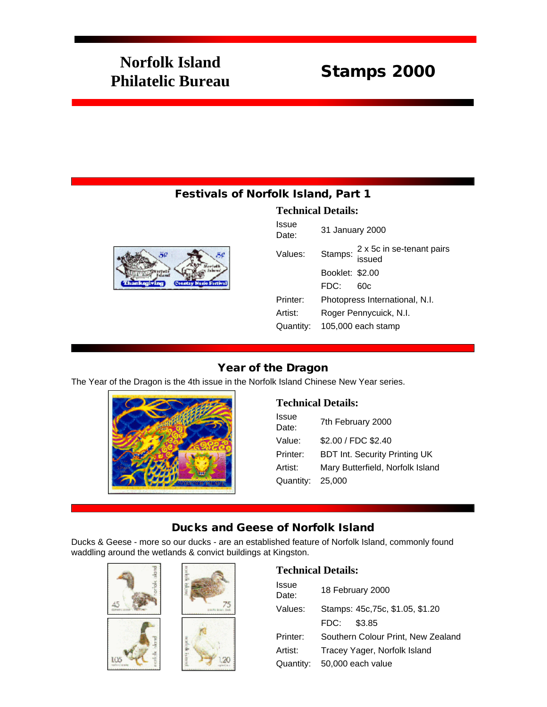# **Norfolk Island Philatelic Bureau** Stamps 2000

## Festivals of Norfolk Island, Part 1





| 31 January 2000                             |  |
|---------------------------------------------|--|
| Stamps: 2 x 5c in se-tenant pairs<br>issued |  |
| Booklet: \$2,00                             |  |
| FDC:<br>60c                                 |  |
| Photopress International, N.I.              |  |
| Roger Pennycuick, N.I.                      |  |
| 105,000 each stamp                          |  |
|                                             |  |

## Year of the Dragon

The Year of the Dragon is the 4th issue in the Norfolk Island Chinese New Year series.



#### **Technical Details:**

| <b>Issue</b><br>Date: | 7th February 2000                    |
|-----------------------|--------------------------------------|
| Value:                | \$2.00 / FDC \$2.40                  |
| Printer:              | <b>BDT Int. Security Printing UK</b> |
| Artist:               | Mary Butterfield, Norfolk Island     |
| Quantity:             | 25,000                               |

## Ducks and Geese of Norfolk Island

Ducks & Geese - more so our ducks - are an established feature of Norfolk Island, commonly found waddling around the wetlands & convict buildings at Kingston.





| Issue<br>Date: | 18 February 2000                   |
|----------------|------------------------------------|
| Values:        | Stamps: 45c, 75c, \$1.05, \$1.20   |
|                | \$3.85<br>FDC:                     |
| Printer:       | Southern Colour Print, New Zealand |
| Artist:        | Tracey Yager, Norfolk Island       |
| Quantity:      | 50,000 each value                  |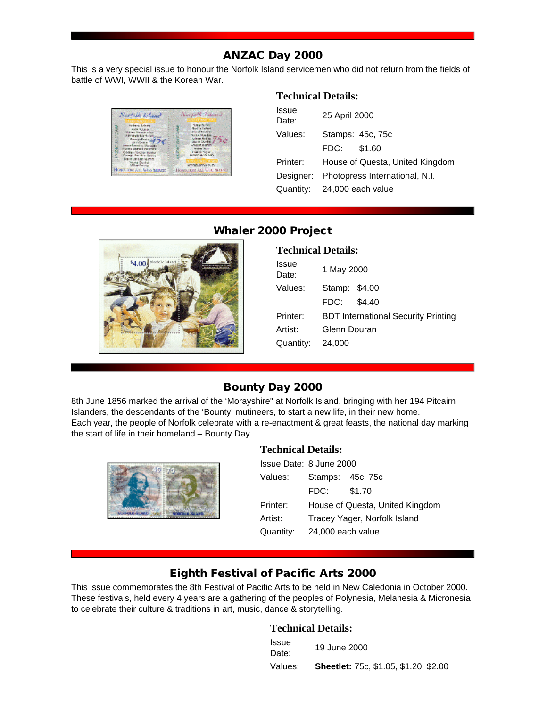## ANZAC Day 2000

This is a very special issue to honour the Norfolk Island servicemen who did not return from the fields of battle of WWI, WWII & the Korean War.



#### **Technical Details:**

| Issue<br>Date: | 25 April 2000                   |  |
|----------------|---------------------------------|--|
| Values:        | Stamps: 45c, 75c                |  |
|                | \$1.60<br>FDC:                  |  |
| Printer:       | House of Questa, United Kingdom |  |
| Designer:      | Photopress International, N.I.  |  |
|                | Quantity: 24,000 each value     |  |
|                |                                 |  |



## Whaler 2000 Project

| <b>Technical Details:</b> |                                            |  |
|---------------------------|--------------------------------------------|--|
| Issue<br>Date:            | 1 May 2000                                 |  |
| Values:                   | Stamp: \$4.00                              |  |
|                           | \$4.40<br>FDC:                             |  |
| Printer:                  | <b>BDT International Security Printing</b> |  |
| Artist:                   | Glenn Douran                               |  |
| Quantity:                 | 24,000                                     |  |
|                           |                                            |  |

## Bounty Day 2000

8th June 1856 marked the arrival of the 'Morayshire" at Norfolk Island, bringing with her 194 Pitcairn Islanders, the descendants of the 'Bounty' mutineers, to start a new life, in their new home. Each year, the people of Norfolk celebrate with a re-enactment & great feasts, the national day marking the start of life in their homeland – Bounty Day.



## **Technical Details:**

|           | Issue Date: 8 June 2000         |                  |  |
|-----------|---------------------------------|------------------|--|
| Values:   |                                 | Stamps: 45c, 75c |  |
|           | FDC:                            | \$1.70           |  |
| Printer:  | House of Questa, United Kingdom |                  |  |
| Artist:   | Tracey Yager, Norfolk Island    |                  |  |
| Quantity: | 24,000 each value               |                  |  |

## Eighth Festival of Pacific Arts 2000

This issue commemorates the 8th Festival of Pacific Arts to be held in New Caledonia in October 2000. These festivals, held every 4 years are a gathering of the peoples of Polynesia, Melanesia & Micronesia to celebrate their culture & traditions in art, music, dance & storytelling.

| Issue<br>Date: | 19 June 2000                                 |
|----------------|----------------------------------------------|
| Values:        | <b>Sheetlet: 75c, \$1.05, \$1.20, \$2.00</b> |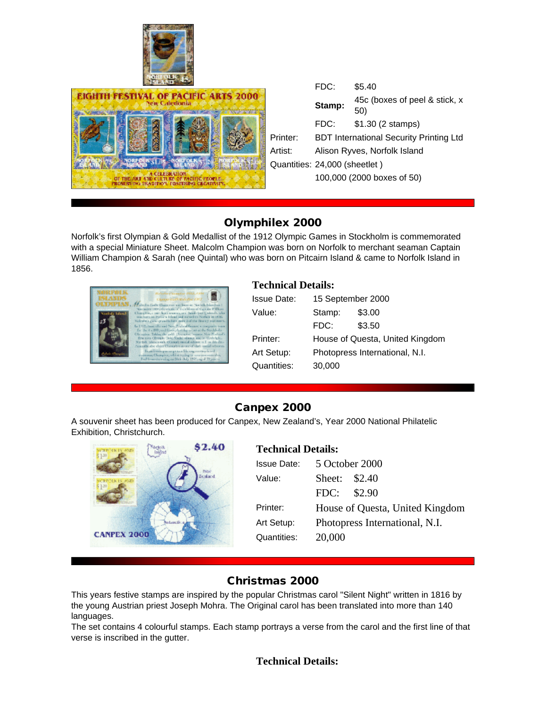



|          | FDC:                                           | \$5.40                               |  |
|----------|------------------------------------------------|--------------------------------------|--|
|          | Stamp:                                         | 45c (boxes of peel & stick, x<br>50) |  |
|          | FDC:                                           | \$1.30 (2 stamps)                    |  |
| Printer: | <b>BDT International Security Printing Ltd</b> |                                      |  |
| Artist:  | Alison Ryves, Norfolk Island                   |                                      |  |
|          | Quantities: 24,000 (sheetlet)                  |                                      |  |
|          | 100,000 (2000 boxes of 50)                     |                                      |  |
|          |                                                |                                      |  |

## Olymphilex 2000

Norfolk's first Olympian & Gold Medallist of the 1912 Olympic Games in Stockholm is commemorated with a special Miniature Sheet. Malcolm Champion was born on Norfolk to merchant seaman Captain William Champion & Sarah (nee Quintal) who was born on Pitcairn Island & came to Norfolk Island in 1856.



#### **Technical Details:**

| <b>Issue Date:</b> | 15 September 2000               |        |
|--------------------|---------------------------------|--------|
| Value:             | Stamp:                          | \$3.00 |
|                    | FDC:                            | \$3.50 |
| Printer:           | House of Questa, United Kingdom |        |
| Art Setup:         | Photopress International, N.I.  |        |
| Quantities:        | 30,000                          |        |

## Canpex 2000

A souvenir sheet has been produced for Canpex, New Zealand's, Year 2000 National Philatelic Exhibition, Christchurch.



## **Technical Details:**

| <b>Issue Date:</b> | 5 October 2000                  |  |
|--------------------|---------------------------------|--|
| Value:             | Sheet: \$2.40                   |  |
|                    | FDC: \$2.90                     |  |
| Printer:           | House of Questa, United Kingdom |  |
| Art Setup:         | Photopress International, N.I.  |  |
| Quantities:        | 20,000                          |  |

## Christmas 2000

This years festive stamps are inspired by the popular Christmas carol "Silent Night" written in 1816 by the young Austrian priest Joseph Mohra. The Original carol has been translated into more than 140 languages.

The set contains 4 colourful stamps. Each stamp portrays a verse from the carol and the first line of that verse is inscribed in the gutter.